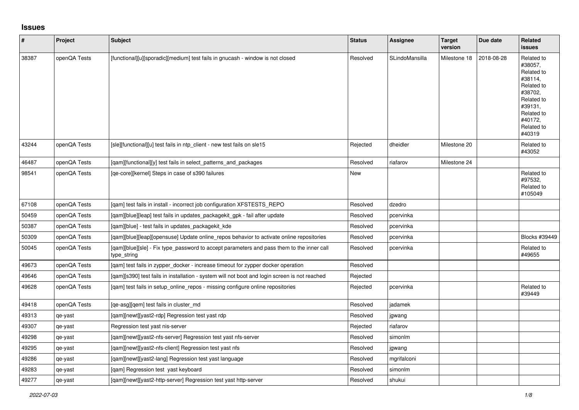## **Issues**

| $\vert$ # | Project      | <b>Subject</b>                                                                                           | <b>Status</b> | Assignee       | <b>Target</b><br>version | Due date   | Related<br><b>issues</b>                                                                                                                          |
|-----------|--------------|----------------------------------------------------------------------------------------------------------|---------------|----------------|--------------------------|------------|---------------------------------------------------------------------------------------------------------------------------------------------------|
| 38387     | openQA Tests | [functional][u][sporadic][medium] test fails in gnucash - window is not closed                           | Resolved      | SLindoMansilla | Milestone 18             | 2018-08-28 | Related to<br>#38057.<br>Related to<br>#38114.<br>Related to<br>#38702,<br>Related to<br>#39131,<br>Related to<br>#40172,<br>Related to<br>#40319 |
| 43244     | openQA Tests | [sle][functional][u] test fails in ntp_client - new test fails on sle15                                  | Rejected      | dheidler       | Milestone 20             |            | Related to<br>#43052                                                                                                                              |
| 46487     | openQA Tests | [qam][functional][y] test fails in select_patterns_and_packages                                          | Resolved      | riafarov       | Milestone 24             |            |                                                                                                                                                   |
| 98541     | openQA Tests | [ge-core][kernel] Steps in case of s390 failures                                                         | New           |                |                          |            | Related to<br>#97532,<br>Related to<br>#105049                                                                                                    |
| 67108     | openQA Tests | [gam] test fails in install - incorrect job configuration XFSTESTS REPO                                  | Resolved      | dzedro         |                          |            |                                                                                                                                                   |
| 50459     | openQA Tests | [qam][blue][leap] test fails in updates_packagekit_gpk - fail after update                               | Resolved      | pcervinka      |                          |            |                                                                                                                                                   |
| 50387     | openQA Tests | [qam][blue] - test fails in updates_packagekit_kde                                                       | Resolved      | pcervinka      |                          |            |                                                                                                                                                   |
| 50309     | openQA Tests | [gam][blue][leap][opensuse] Update online_repos behavior to activate online repositories                 | Resolved      | pcervinka      |                          |            | Blocks #39449                                                                                                                                     |
| 50045     | openQA Tests | [qam][blue][sle] - Fix type_password to accept parameters and pass them to the inner call<br>type_string | Resolved      | pcervinka      |                          |            | Related to<br>#49655                                                                                                                              |
| 49673     | openQA Tests | [gam] test fails in zypper docker - increase timeout for zypper docker operation                         | Resolved      |                |                          |            |                                                                                                                                                   |
| 49646     | openQA Tests | [qam][s390] test fails in installation - system will not boot and login screen is not reached            | Rejected      |                |                          |            |                                                                                                                                                   |
| 49628     | openQA Tests | [gam] test fails in setup online repos - missing configure online repositories                           | Rejected      | pcervinka      |                          |            | Related to<br>#39449                                                                                                                              |
| 49418     | openQA Tests | [qe-asg][qem] test fails in cluster_md                                                                   | Resolved      | jadamek        |                          |            |                                                                                                                                                   |
| 49313     | qe-yast      | [qam][newt][yast2-rdp] Regression test yast rdp                                                          | Resolved      | jgwang         |                          |            |                                                                                                                                                   |
| 49307     | qe-yast      | Regression test yast nis-server                                                                          | Rejected      | riafarov       |                          |            |                                                                                                                                                   |
| 49298     | qe-yast      | [qam][newt][yast2-nfs-server] Regression test yast nfs-server                                            | Resolved      | simonlm        |                          |            |                                                                                                                                                   |
| 49295     | qe-yast      | [qam][newt][yast2-nfs-client] Regression test yast nfs                                                   | Resolved      | jgwang         |                          |            |                                                                                                                                                   |
| 49286     | qe-yast      | [qam][newt][yast2-lang] Regression test yast language                                                    | Resolved      | mgrifalconi    |                          |            |                                                                                                                                                   |
| 49283     | qe-yast      | [gam] Regression test yast keyboard                                                                      | Resolved      | simonlm        |                          |            |                                                                                                                                                   |
| 49277     | qe-yast      | [gam][newt][yast2-http-server] Regression test yast http-server                                          | Resolved      | shukui         |                          |            |                                                                                                                                                   |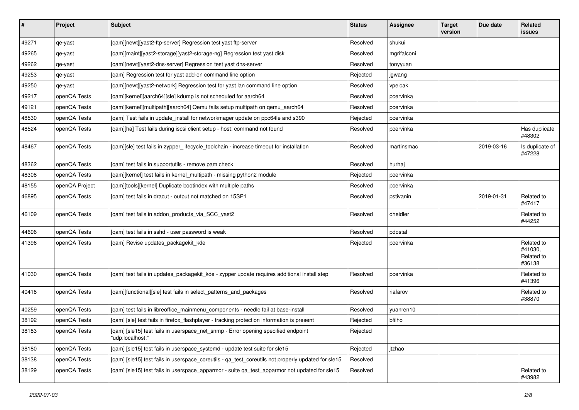| $\sharp$ | Project        | <b>Subject</b>                                                                                        | <b>Status</b> | Assignee    | <b>Target</b><br>version | Due date   | Related<br>issues                             |
|----------|----------------|-------------------------------------------------------------------------------------------------------|---------------|-------------|--------------------------|------------|-----------------------------------------------|
| 49271    | qe-yast        | [qam][newt][yast2-ftp-server] Regression test yast ftp-server                                         | Resolved      | shukui      |                          |            |                                               |
| 49265    | qe-yast        | [qam][maint][yast2-storage][yast2-storage-ng] Regression test yast disk                               | Resolved      | mgrifalconi |                          |            |                                               |
| 49262    | qe-yast        | [gam][newt][yast2-dns-server] Regression test yast dns-server                                         | Resolved      | tonyyuan    |                          |            |                                               |
| 49253    | qe-yast        | [qam] Regression test for yast add-on command line option                                             | Rejected      | jgwang      |                          |            |                                               |
| 49250    | qe-yast        | [qam][newt][yast2-network] Regression test for yast lan command line option                           | Resolved      | vpelcak     |                          |            |                                               |
| 49217    | openQA Tests   | [qam][kernel][aarch64][sle] kdump is not scheduled for aarch64                                        | Resolved      | pcervinka   |                          |            |                                               |
| 49121    | openQA Tests   | [qam][kernel][multipath][aarch64] Qemu fails setup multipath on qemu_aarch64                          | Resolved      | pcervinka   |                          |            |                                               |
| 48530    | openQA Tests   | [qam] Test fails in update_install for networkmager update on ppc64le and s390                        | Rejected      | pcervinka   |                          |            |                                               |
| 48524    | openQA Tests   | [qam][ha] Test fails during iscsi client setup - host: command not found                              | Resolved      | pcervinka   |                          |            | Has duplicate<br>#48302                       |
| 48467    | openQA Tests   | [qam][sle] test fails in zypper_lifecycle_toolchain - increase timeout for installation               | Resolved      | martinsmac  |                          | 2019-03-16 | Is duplicate of<br>#47228                     |
| 48362    | openQA Tests   | [qam] test fails in supportutils - remove pam check                                                   | Resolved      | hurhaj      |                          |            |                                               |
| 48308    | openQA Tests   | [qam][kernel] test fails in kernel_multipath - missing python2 module                                 | Rejected      | pcervinka   |                          |            |                                               |
| 48155    | openQA Project | [gam][tools][kernel] Duplicate bootindex with multiple paths                                          | Resolved      | pcervinka   |                          |            |                                               |
| 46895    | openQA Tests   | [qam] test fails in dracut - output not matched on 15SP1                                              | Resolved      | pstivanin   |                          | 2019-01-31 | Related to<br>#47417                          |
| 46109    | openQA Tests   | [qam] test fails in addon_products_via_SCC_yast2                                                      | Resolved      | dheidler    |                          |            | Related to<br>#44252                          |
| 44696    | openQA Tests   | [qam] test fails in sshd - user password is weak                                                      | Resolved      | pdostal     |                          |            |                                               |
| 41396    | openQA Tests   | [qam] Revise updates_packagekit_kde                                                                   | Rejected      | pcervinka   |                          |            | Related to<br>#41030,<br>Related to<br>#36138 |
| 41030    | openQA Tests   | [qam] test fails in updates_packagekit_kde - zypper update requires additional install step           | Resolved      | pcervinka   |                          |            | Related to<br>#41396                          |
| 40418    | openQA Tests   | [qam][functional][sle] test fails in select_patterns_and_packages                                     | Resolved      | riafarov    |                          |            | Related to<br>#38870                          |
| 40259    | openQA Tests   | [qam] test fails in libreoffice_mainmenu_components - needle fail at base-install                     | Resolved      | yuanren10   |                          |            |                                               |
| 38192    | openQA Tests   | [qam] [sle] test fails in firefox_flashplayer - tracking protection information is present            | Rejected      | bfilho      |                          |            |                                               |
| 38183    | openQA Tests   | [qam] [sle15] test fails in userspace_net_snmp - Error opening specified endpoint<br>'udp:localhost:" | Rejected      |             |                          |            |                                               |
| 38180    | openQA Tests   | [qam] [sle15] test fails in userspace_systemd - update test suite for sle15                           | Rejected      | jtzhao      |                          |            |                                               |
| 38138    | openQA Tests   | [qam] [sle15] test fails in userspace_coreutils - qa_test_coreutils not properly updated for sle15    | Resolved      |             |                          |            |                                               |
| 38129    | openQA Tests   | [qam] [sle15] test fails in userspace_apparmor - suite qa_test_apparmor not updated for sle15         | Resolved      |             |                          |            | Related to<br>#43982                          |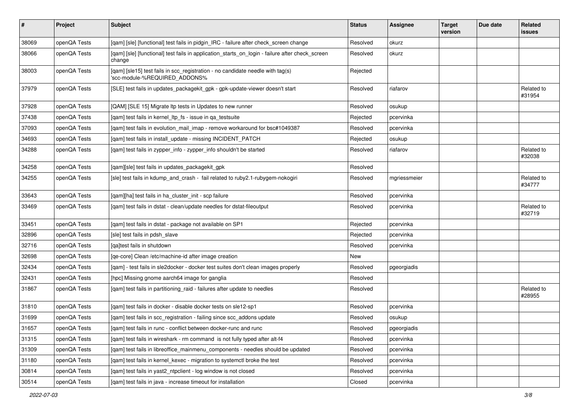| $\vert$ # | Project      | Subject                                                                                                         | <b>Status</b> | <b>Assignee</b> | <b>Target</b><br>version | Due date | Related<br>issues    |
|-----------|--------------|-----------------------------------------------------------------------------------------------------------------|---------------|-----------------|--------------------------|----------|----------------------|
| 38069     | openQA Tests | [qam] [sle] [functional] test fails in pidgin_IRC - failure after check_screen change                           | Resolved      | okurz           |                          |          |                      |
| 38066     | openQA Tests | [qam] [sle] [functional] test fails in application_starts_on_login - failure after check_screen<br>change       | Resolved      | okurz           |                          |          |                      |
| 38003     | openQA Tests | [qam] [sle15] test fails in scc_registration - no candidate needle with tag(s)<br>'scc-module-%REQUIRED_ADDONS% | Rejected      |                 |                          |          |                      |
| 37979     | openQA Tests | [SLE] test fails in updates_packagekit_gpk - gpk-update-viewer doesn't start                                    | Resolved      | riafarov        |                          |          | Related to<br>#31954 |
| 37928     | openQA Tests | [QAM] [SLE 15] Migrate Itp tests in Updates to new runner                                                       | Resolved      | osukup          |                          |          |                      |
| 37438     | openQA Tests | [qam] test fails in kernel_ltp_fs - issue in qa_testsuite                                                       | Rejected      | pcervinka       |                          |          |                      |
| 37093     | openQA Tests | [qam] test fails in evolution_mail_imap - remove workaround for bsc#1049387                                     | Resolved      | pcervinka       |                          |          |                      |
| 34693     | openQA Tests | [qam] test fails in install_update - missing INCIDENT_PATCH                                                     | Rejected      | osukup          |                          |          |                      |
| 34288     | openQA Tests | [qam] test fails in zypper_info - zypper_info shouldn't be started                                              | Resolved      | riafarov        |                          |          | Related to<br>#32038 |
| 34258     | openQA Tests | [qam][sle] test fails in updates_packagekit_gpk                                                                 | Resolved      |                 |                          |          |                      |
| 34255     | openQA Tests | [sle] test fails in kdump_and_crash - fail related to ruby2.1-rubygem-nokogiri                                  | Resolved      | mgriessmeier    |                          |          | Related to<br>#34777 |
| 33643     | openQA Tests | [qam][ha] test fails in ha_cluster_init - scp failure                                                           | Resolved      | pcervinka       |                          |          |                      |
| 33469     | openQA Tests | [qam] test fails in dstat - clean/update needles for dstat-fileoutput                                           | Resolved      | pcervinka       |                          |          | Related to<br>#32719 |
| 33451     | openQA Tests | [qam] test fails in dstat - package not available on SP1                                                        | Rejected      | pcervinka       |                          |          |                      |
| 32896     | openQA Tests | [sle] test fails in pdsh slave                                                                                  | Rejected      | pcervinka       |                          |          |                      |
| 32716     | openQA Tests | [ga]test fails in shutdown                                                                                      | Resolved      | pcervinka       |                          |          |                      |
| 32698     | openQA Tests | [ge-core] Clean /etc/machine-id after image creation                                                            | New           |                 |                          |          |                      |
| 32434     | openQA Tests | [qam] - test fails in sle2docker - docker test suites don't clean images properly                               | Resolved      | pgeorgiadis     |                          |          |                      |
| 32431     | openQA Tests | [hpc] Missing gnome aarch64 image for ganglia                                                                   | Resolved      |                 |                          |          |                      |
| 31867     | openQA Tests | [qam] test fails in partitioning_raid - failures after update to needles                                        | Resolved      |                 |                          |          | Related to<br>#28955 |
| 31810     | openQA Tests | [qam] test fails in docker - disable docker tests on sle12-sp1                                                  | Resolved      | pcervinka       |                          |          |                      |
| 31699     | openQA Tests | [qam] test fails in scc_registration - failing since scc_addons update                                          | Resolved      | osukup          |                          |          |                      |
| 31657     | openQA Tests | [qam] test fails in runc - conflict between docker-runc and runc                                                | Resolved      | pgeorgiadis     |                          |          |                      |
| 31315     | openQA Tests | [gam] test fails in wireshark - rm command is not fully typed after alt-f4                                      | Resolved      | pcervinka       |                          |          |                      |
| 31309     | openQA Tests | [gam] test fails in libreoffice mainmenu components - needles should be updated                                 | Resolved      | pcervinka       |                          |          |                      |
| 31180     | openQA Tests | [gam] test fails in kernel kexec - migration to systemctl broke the test                                        | Resolved      | pcervinka       |                          |          |                      |
| 30814     | openQA Tests | [qam] test fails in yast2_ntpclient - log window is not closed                                                  | Resolved      | pcervinka       |                          |          |                      |
| 30514     | openQA Tests | [qam] test fails in java - increase timeout for installation                                                    | Closed        | pcervinka       |                          |          |                      |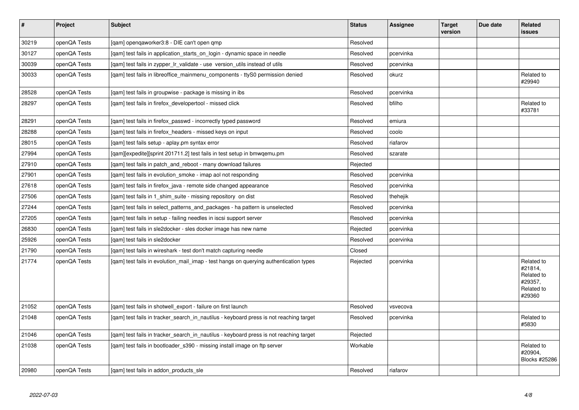| $\vert$ # | Project      | <b>Subject</b>                                                                         | <b>Status</b> | Assignee  | <b>Target</b><br>version | Due date | Related<br><b>issues</b>                                               |
|-----------|--------------|----------------------------------------------------------------------------------------|---------------|-----------|--------------------------|----------|------------------------------------------------------------------------|
| 30219     | openQA Tests | [qam] openqaworker3:8 - DIE can't open qmp                                             | Resolved      |           |                          |          |                                                                        |
| 30127     | openQA Tests | [gam] test fails in application starts on login - dynamic space in needle              | Resolved      | pcervinka |                          |          |                                                                        |
| 30039     | openQA Tests | [gam] test fails in zypper Ir validate - use version utils instead of utils            | Resolved      | pcervinka |                          |          |                                                                        |
| 30033     | openQA Tests | [gam] test fails in libreoffice mainmenu components - ttyS0 permission denied          | Resolved      | okurz     |                          |          | Related to<br>#29940                                                   |
| 28528     | openQA Tests | [gam] test fails in groupwise - package is missing in ibs                              | Resolved      | pcervinka |                          |          |                                                                        |
| 28297     | openQA Tests | [qam] test fails in firefox_developertool - missed click                               | Resolved      | bfilho    |                          |          | Related to<br>#33781                                                   |
| 28291     | openQA Tests | [qam] test fails in firefox_passwd - incorrectly typed password                        | Resolved      | emiura    |                          |          |                                                                        |
| 28288     | openQA Tests | [gam] test fails in firefox headers - missed keys on input                             | Resolved      | coolo     |                          |          |                                                                        |
| 28015     | openQA Tests | [qam] test fails setup - aplay.pm syntax error                                         | Resolved      | riafarov  |                          |          |                                                                        |
| 27994     | openQA Tests | [gam][expedite][sprint 201711.2] test fails in test setup in bmwgemu.pm                | Resolved      | szarate   |                          |          |                                                                        |
| 27910     | openQA Tests | [qam] test fails in patch_and_reboot - many download failures                          | Rejected      |           |                          |          |                                                                        |
| 27901     | openQA Tests | [qam] test fails in evolution_smoke - imap aol not responding                          | Resolved      | pcervinka |                          |          |                                                                        |
| 27618     | openQA Tests | [gam] test fails in firefox java - remote side changed appearance                      | Resolved      | pcervinka |                          |          |                                                                        |
| 27506     | openQA Tests | [qam] test fails in 1_shim_suite - missing repository on dist                          | Resolved      | thehejik  |                          |          |                                                                        |
| 27244     | openQA Tests | [gam] test fails in select patterns and packages - ha pattern is unselected            | Resolved      | pcervinka |                          |          |                                                                        |
| 27205     | openQA Tests | [qam] test fails in setup - failing needles in iscsi support server                    | Resolved      | pcervinka |                          |          |                                                                        |
| 26830     | openQA Tests | [gam] test fails in sle2docker - sles docker image has new name                        | Rejected      | pcervinka |                          |          |                                                                        |
| 25926     | openQA Tests | [qam] test fails in sle2docker                                                         | Resolved      | pcervinka |                          |          |                                                                        |
| 21790     | openQA Tests | [gam] test fails in wireshark - test don't match capturing needle                      | Closed        |           |                          |          |                                                                        |
| 21774     | openQA Tests | [qam] test fails in evolution_mail_imap - test hangs on querying authentication types  | Rejected      | pcervinka |                          |          | Related to<br>#21814,<br>Related to<br>#29357,<br>Related to<br>#29360 |
| 21052     | openQA Tests | [gam] test fails in shotwell export - failure on first launch                          | Resolved      | vsvecova  |                          |          |                                                                        |
| 21048     | openQA Tests | [qam] test fails in tracker_search_in_nautilus - keyboard press is not reaching target | Resolved      | pcervinka |                          |          | Related to<br>#5830                                                    |
| 21046     | openQA Tests | [qam] test fails in tracker_search_in_nautilus - keyboard press is not reaching target | Rejected      |           |                          |          |                                                                        |
| 21038     | openQA Tests | [gam] test fails in bootloader s390 - missing install image on ftp server              | Workable      |           |                          |          | Related to<br>#20904,<br>Blocks #25286                                 |
| 20980     | openQA Tests | [gam] test fails in addon products sle                                                 | Resolved      | riafarov  |                          |          |                                                                        |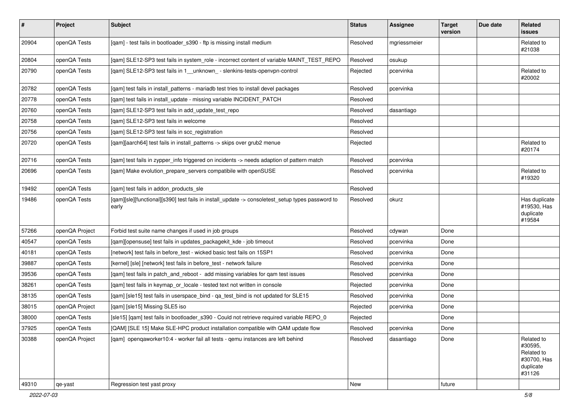| #     | Project        | <b>Subject</b>                                                                                            | <b>Status</b> | <b>Assignee</b> | <b>Target</b><br>version | Due date | Related<br>issues                                                         |
|-------|----------------|-----------------------------------------------------------------------------------------------------------|---------------|-----------------|--------------------------|----------|---------------------------------------------------------------------------|
| 20904 | openQA Tests   | [qam] - test fails in bootloader_s390 - ftp is missing install medium                                     | Resolved      | mgriessmeier    |                          |          | Related to<br>#21038                                                      |
| 20804 | openQA Tests   | [qam] SLE12-SP3 test fails in system_role - incorrect content of variable MAINT_TEST_REPO                 | Resolved      | osukup          |                          |          |                                                                           |
| 20790 | openQA Tests   | [qam] SLE12-SP3 test fails in 1__unknown_ - slenkins-tests-openvpn-control                                | Rejected      | pcervinka       |                          |          | Related to<br>#20002                                                      |
| 20782 | openQA Tests   | [qam] test fails in install_patterns - mariadb test tries to install devel packages                       | Resolved      | pcervinka       |                          |          |                                                                           |
| 20778 | openQA Tests   | [qam] test fails in install_update - missing variable INCIDENT_PATCH                                      | Resolved      |                 |                          |          |                                                                           |
| 20760 | openQA Tests   | [qam] SLE12-SP3 test fails in add_update_test_repo                                                        | Resolved      | dasantiago      |                          |          |                                                                           |
| 20758 | openQA Tests   | [gam] SLE12-SP3 test fails in welcome                                                                     | Resolved      |                 |                          |          |                                                                           |
| 20756 | openQA Tests   | [gam] SLE12-SP3 test fails in scc registration                                                            | Resolved      |                 |                          |          |                                                                           |
| 20720 | openQA Tests   | [qam][aarch64] test fails in install_patterns -> skips over grub2 menue                                   | Rejected      |                 |                          |          | Related to<br>#20174                                                      |
| 20716 | openQA Tests   | [qam] test fails in zypper_info triggered on incidents -> needs adaption of pattern match                 | Resolved      | pcervinka       |                          |          |                                                                           |
| 20696 | openQA Tests   | [qam] Make evolution_prepare_servers compatibile with openSUSE                                            | Resolved      | pcervinka       |                          |          | Related to<br>#19320                                                      |
| 19492 | openQA Tests   | [qam] test fails in addon_products_sle                                                                    | Resolved      |                 |                          |          |                                                                           |
| 19486 | openQA Tests   | [gam][sle][functional][s390] test fails in install_update -> consoletest_setup types password to<br>early | Resolved      | okurz           |                          |          | Has duplicate<br>#19530, Has<br>duplicate<br>#19584                       |
| 57266 | openQA Project | Forbid test suite name changes if used in job groups                                                      | Resolved      | cdywan          | Done                     |          |                                                                           |
| 40547 | openQA Tests   | [qam][opensuse] test fails in updates_packagekit_kde - job timeout                                        | Resolved      | pcervinka       | Done                     |          |                                                                           |
| 40181 | openQA Tests   | [network] test fails in before_test - wicked basic test fails on 15SP1                                    | Resolved      | pcervinka       | Done                     |          |                                                                           |
| 39887 | openQA Tests   | [kernel] [sle] [network] test fails in before_test - network failure                                      | Resolved      | pcervinka       | Done                     |          |                                                                           |
| 39536 | openQA Tests   | [qam] test fails in patch_and_reboot - add missing variables for qam test issues                          | Resolved      | pcervinka       | Done                     |          |                                                                           |
| 38261 | openQA Tests   | [qam] test fails in keymap_or_locale - tested text not written in console                                 | Rejected      | pcervinka       | Done                     |          |                                                                           |
| 38135 | openQA Tests   | [gam] [sle15] test fails in userspace bind - ga test bind is not updated for SLE15                        | Resolved      | pcervinka       | Done                     |          |                                                                           |
| 38015 | openQA Project | [qam] [sle15] Missing SLE5 iso                                                                            | Rejected      | pcervinka       | Done                     |          |                                                                           |
| 38000 | openQA Tests   | [sle15] [gam] test fails in bootloader s390 - Could not retrieve required variable REPO 0                 | Rejected      |                 | Done                     |          |                                                                           |
| 37925 | openQA Tests   | [QAM] [SLE 15] Make SLE-HPC product installation compatible with QAM update flow                          | Resolved      | pcervinka       | Done                     |          |                                                                           |
| 30388 | openQA Project | [gam] opengaworker10:4 - worker fail all tests - gemu instances are left behind                           | Resolved      | dasantiago      | Done                     |          | Related to<br>#30595,<br>Related to<br>#30700, Has<br>duplicate<br>#31126 |
| 49310 | qe-yast        | Regression test yast proxy                                                                                | New           |                 | future                   |          |                                                                           |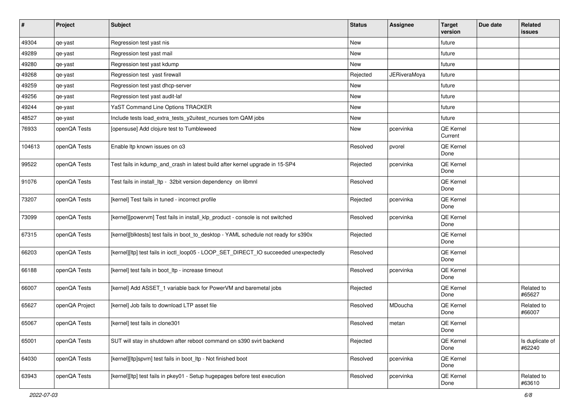| $\sharp$ | Project        | Subject                                                                              | <b>Status</b> | Assignee            | <b>Target</b><br>version | Due date | Related<br>issues         |
|----------|----------------|--------------------------------------------------------------------------------------|---------------|---------------------|--------------------------|----------|---------------------------|
| 49304    | qe-yast        | Regression test yast nis                                                             | New           |                     | future                   |          |                           |
| 49289    | qe-yast        | Regression test yast mail                                                            | New           |                     | future                   |          |                           |
| 49280    | qe-yast        | Regression test yast kdump                                                           | New           |                     | future                   |          |                           |
| 49268    | qe-yast        | Regression test yast firewall                                                        | Rejected      | <b>JERiveraMoya</b> | future                   |          |                           |
| 49259    | qe-yast        | Regression test yast dhcp-server                                                     | New           |                     | future                   |          |                           |
| 49256    | qe-yast        | Regression test yast audit-laf                                                       | New           |                     | future                   |          |                           |
| 49244    | qe-yast        | YaST Command Line Options TRACKER                                                    | New           |                     | future                   |          |                           |
| 48527    | qe-yast        | Include tests load_extra_tests_y2uitest_ncurses tom QAM jobs                         | New           |                     | future                   |          |                           |
| 76933    | openQA Tests   | [opensuse] Add clojure test to Tumbleweed                                            | New           | pcervinka           | QE Kernel<br>Current     |          |                           |
| 104613   | openQA Tests   | Enable Itp known issues on o3                                                        | Resolved      | pvorel              | QE Kernel<br>Done        |          |                           |
| 99522    | openQA Tests   | Test fails in kdump_and_crash in latest build after kernel upgrade in 15-SP4         | Rejected      | pcervinka           | QE Kernel<br>Done        |          |                           |
| 91076    | openQA Tests   | Test fails in install_ltp - 32bit version dependency on libmnl                       | Resolved      |                     | QE Kernel<br>Done        |          |                           |
| 73207    | openQA Tests   | [kernel] Test fails in tuned - incorrect profile                                     | Rejected      | pcervinka           | QE Kernel<br>Done        |          |                           |
| 73099    | openQA Tests   | [kernel][powervm] Test fails in install_klp_product - console is not switched        | Resolved      | pcervinka           | QE Kernel<br>Done        |          |                           |
| 67315    | openQA Tests   | [kernel][blktests] test fails in boot_to_desktop - YAML schedule not ready for s390x | Rejected      |                     | QE Kernel<br>Done        |          |                           |
| 66203    | openQA Tests   | [kernel][ltp] test fails in ioctl_loop05 - LOOP_SET_DIRECT_IO succeeded unexpectedly | Resolved      |                     | QE Kernel<br>Done        |          |                           |
| 66188    | openQA Tests   | [kernel] test fails in boot_ltp - increase timeout                                   | Resolved      | pcervinka           | QE Kernel<br>Done        |          |                           |
| 66007    | openQA Tests   | [kernel] Add ASSET_1 variable back for PowerVM and baremetal jobs                    | Rejected      |                     | QE Kernel<br>Done        |          | Related to<br>#65627      |
| 65627    | openQA Project | [kernel] Job fails to download LTP asset file                                        | Resolved      | MDoucha             | QE Kernel<br>Done        |          | Related to<br>#66007      |
| 65067    | openQA Tests   | [kernel] test fails in clone301                                                      | Resolved      | metan               | QE Kernel<br>Done        |          |                           |
| 65001    | openQA Tests   | SUT will stay in shutdown after reboot command on s390 svirt backend                 | Rejected      |                     | QE Kernel<br>Done        |          | Is duplicate of<br>#62240 |
| 64030    | openQA Tests   | [kernel][ltp]spvm] test fails in boot_ltp - Not finished boot                        | Resolved      | pcervinka           | QE Kernel<br>Done        |          |                           |
| 63943    | openQA Tests   | [kernel][ltp] test fails in pkey01 - Setup hugepages before test execution           | Resolved      | pcervinka           | QE Kernel<br>Done        |          | Related to<br>#63610      |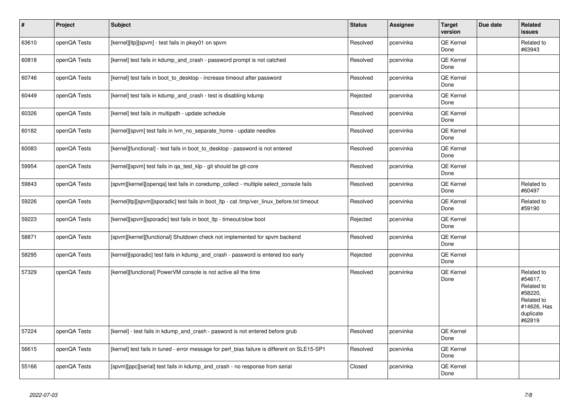| $\vert$ # | <b>Project</b> | <b>Subject</b>                                                                               | <b>Status</b> | Assignee  | <b>Target</b><br>version | Due date | Related<br><b>issues</b>                                                                           |
|-----------|----------------|----------------------------------------------------------------------------------------------|---------------|-----------|--------------------------|----------|----------------------------------------------------------------------------------------------------|
| 63610     | openQA Tests   | [kernel][ltp][spvm] - test fails in pkey01 on spvm                                           | Resolved      | pcervinka | <b>QE Kernel</b><br>Done |          | Related to<br>#63943                                                                               |
| 60818     | openQA Tests   | [kernel] test fails in kdump and crash - password prompt is not catched                      | Resolved      | pcervinka | QE Kernel<br>Done        |          |                                                                                                    |
| 60746     | openQA Tests   | [kernel] test fails in boot to desktop - increase timeout after password                     | Resolved      | pcervinka | QE Kernel<br>Done        |          |                                                                                                    |
| 60449     | openQA Tests   | [kernel] test fails in kdump_and_crash - test is disabling kdump                             | Rejected      | pcervinka | <b>QE Kernel</b><br>Done |          |                                                                                                    |
| 60326     | openQA Tests   | [kernel] test fails in multipath - update schedule                                           | Resolved      | pcervinka | QE Kernel<br>Done        |          |                                                                                                    |
| 60182     | openQA Tests   | [kernel][spvm] test fails in lvm no separate home - update needles                           | Resolved      | pcervinka | <b>QE Kernel</b><br>Done |          |                                                                                                    |
| 60083     | openQA Tests   | [kernel][functional] - test fails in boot_to_desktop - password is not entered               | Resolved      | pcervinka | QE Kernel<br>Done        |          |                                                                                                    |
| 59954     | openQA Tests   | [kernel][spvm] test fails in ga test klp - git should be git-core                            | Resolved      | pcervinka | <b>QE Kernel</b><br>Done |          |                                                                                                    |
| 59843     | openQA Tests   | [spvm][kernel][openga] test fails in coredump collect - multiple select console fails        | Resolved      | pcervinka | QE Kernel<br>Done        |          | Related to<br>#60497                                                                               |
| 59226     | openQA Tests   | [kernel]ltp][spvm][sporadic] test fails in boot_ltp - cat /tmp/ver_linux_before.txt timeout  | Resolved      | pcervinka | QE Kernel<br>Done        |          | Related to<br>#59190                                                                               |
| 59223     | openQA Tests   | [kernel][spvm][sporadic] test fails in boot_ltp - timeout/slow boot                          | Rejected      | pcervinka | <b>QE Kernel</b><br>Done |          |                                                                                                    |
| 58871     | openQA Tests   | [spvm][kernel][functional] Shutdown check not implemented for spvm backend                   | Resolved      | pcervinka | <b>QE Kernel</b><br>Done |          |                                                                                                    |
| 58295     | openQA Tests   | [kernel][sporadic] test fails in kdump and crash - password is entered too early             | Rejected      | pcervinka | QE Kernel<br>Done        |          |                                                                                                    |
| 57329     | openQA Tests   | [kernel][functional] PowerVM console is not active all the time                              | Resolved      | pcervinka | <b>QE Kernel</b><br>Done |          | Related to<br>#54617.<br>Related to<br>#58220,<br>Related to<br>#14626, Has<br>duplicate<br>#62819 |
| 57224     | openQA Tests   | [kernel] - test fails in kdump_and_crash - pasword is not entered before grub                | Resolved      | pcervinka | <b>QE Kernel</b><br>Done |          |                                                                                                    |
| 56615     | openQA Tests   | [kernel] test fails in tuned - error message for perf bias failure is different on SLE15-SP1 | Resolved      | pcervinka | QE Kernel<br>Done        |          |                                                                                                    |
| 55166     | openQA Tests   | [spvm][ppc][serial] test fails in kdump and crash - no response from serial                  | Closed        | pcervinka | QE Kernel<br>Done        |          |                                                                                                    |